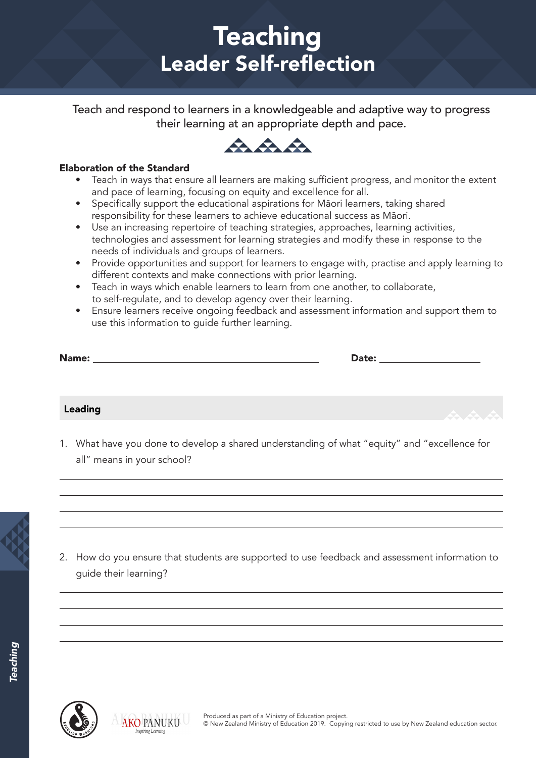# **Teaching** Leader Self-reflection

Teach and respond to learners in a knowledgeable and adaptive way to progress their learning at an appropriate depth and pace.



#### Elaboration of the Standard

- Teach in ways that ensure all learners are making sufficient progress, and monitor the extent and pace of learning, focusing on equity and excellence for all.
- Specifically support the educational aspirations for Māori learners, taking shared responsibility for these learners to achieve educational success as Māori.
- Use an increasing repertoire of teaching strategies, approaches, learning activities, technologies and assessment for learning strategies and modify these in response to the needs of individuals and groups of learners.
- Provide opportunities and support for learners to engage with, practise and apply learning to different contexts and make connections with prior learning.
- Teach in ways which enable learners to learn from one another, to collaborate, to self-regulate, and to develop agency over their learning.
- Ensure learners receive ongoing feedback and assessment information and support them to use this information to guide further learning.

|         | Date: ___________________                 |
|---------|-------------------------------------------|
|         |                                           |
| Leading | $\mathcal{A}$ $\mathcal{A}$ $\mathcal{A}$ |

1. What have you done to develop a shared understanding of what "equity" and "excellence for all" means in your school?



2. How do you ensure that students are supported to use feedback and assessment information to guide their learning?



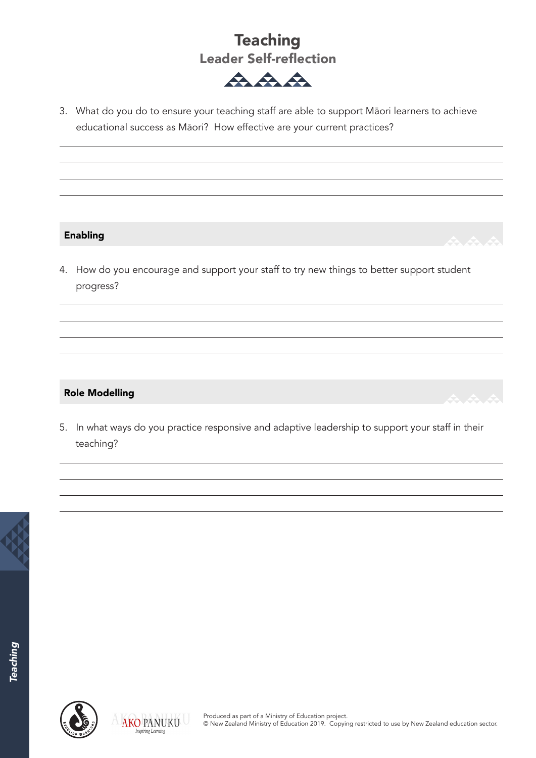



3. What do you do to ensure your teaching staff are able to support Māori learners to achieve educational success as Māori? How effective are your current practices?

#### Enabling

4. How do you encourage and support your staff to try new things to better support student progress?

#### Role Modelling

5. In what ways do you practice responsive and adaptive leadership to support your staff in their teaching?





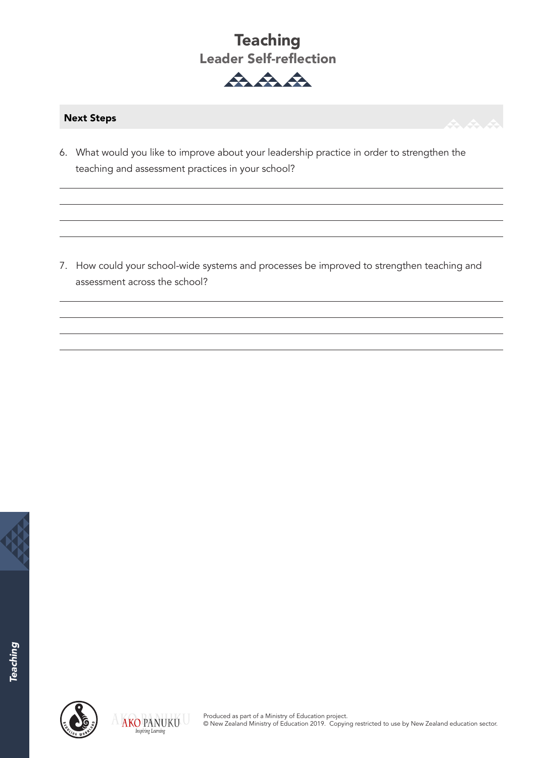## **Teaching** Leader Self-reflection



#### Next Steps

6. What would you like to improve about your leadership practice in order to strengthen the teaching and assessment practices in your school?

7. How could your school-wide systems and processes be improved to strengthen teaching and assessment across the school?





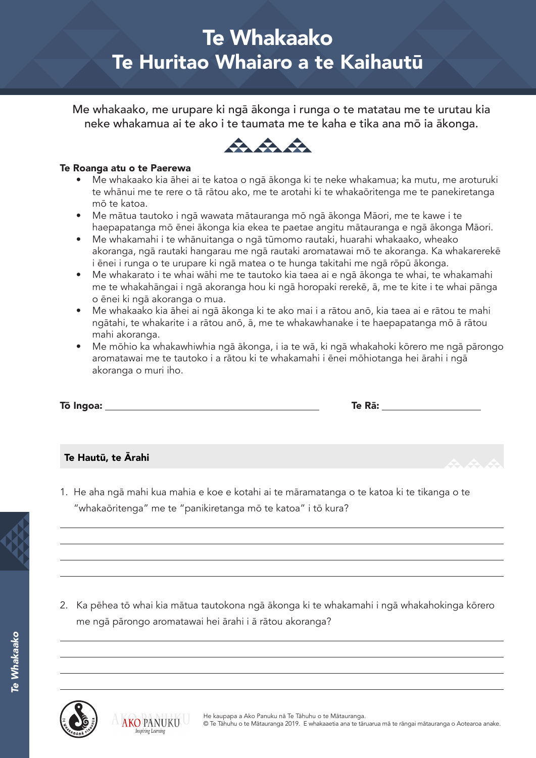# Te Whakaako Te Huritao Whaiaro a te Kaihautū

Me whakaako, me urupare ki ngā ākonga i runga o te matatau me te urutau kia neke whakamua ai te ako i te taumata me te kaha e tika ana mō ia ākonga.



#### Te Roanga atu o te Paerewa

- Me whakaako kia āhei ai te katoa o ngā ākonga ki te neke whakamua; ka mutu, me aroturuki te whānui me te rere o tā rātou ako, me te arotahi ki te whakaōritenga me te panekiretanga mō te katoa.
- Me mātua tautoko i ngā wawata mātauranga mō ngā ākonga Māori, me te kawe i te haepapatanga mō ēnei ākonga kia ekea te paetae angitu mātauranga e ngā ākonga Māori.
- Me whakamahi i te whānuitanga o ngā tūmomo rautaki, huarahi whakaako, wheako akoranga, ngā rautaki hangarau me ngā rautaki aromatawai mō te akoranga. Ka whakarerekē i ēnei i runga o te urupare ki ngā matea o te hunga takitahi me ngā rōpū ākonga.
- Me whakarato i te whai wāhi me te tautoko kia taea ai e ngā ākonga te whai, te whakamahi me te whakahāngai i ngā akoranga hou ki ngā horopaki rerekē, ā, me te kite i te whai pānga o ēnei ki ngā akoranga o mua.
- Me whakaako kia āhei ai ngā ākonga ki te ako mai i a rātou anō, kia taea ai e rātou te mahi ngātahi, te whakarite i a rātou anō, ā, me te whakawhanake i te haepapatanga mō ā rātou mahi akoranga.
- Me mōhio ka whakawhiwhia ngā ākonga, i ia te wā, ki ngā whakahoki kōrero me ngā pārongo aromatawai me te tautoko i a rātou ki te whakamahi i ēnei mōhiotanga hei ārahi i ngā akoranga o muri iho.

| Tō Ingoa: | Te Rā: |
|-----------|--------|
|           |        |

#### Te Hautū, te Ārahi

1. He aha ngā mahi kua mahia e koe e kotahi ai te māramatanga o te katoa ki te tikanga o te "whakaōritenga" me te "panikiretanga mō te katoa" i tō kura?



*Te Whakaako*

e Whakaako

2. Ka pēhea tō whai kia mātua tautokona ngā ākonga ki te whakamahi i ngā whakahokinga kōrero me ngā pārongo aromatawai hei ārahi i ā rātou akoranga?



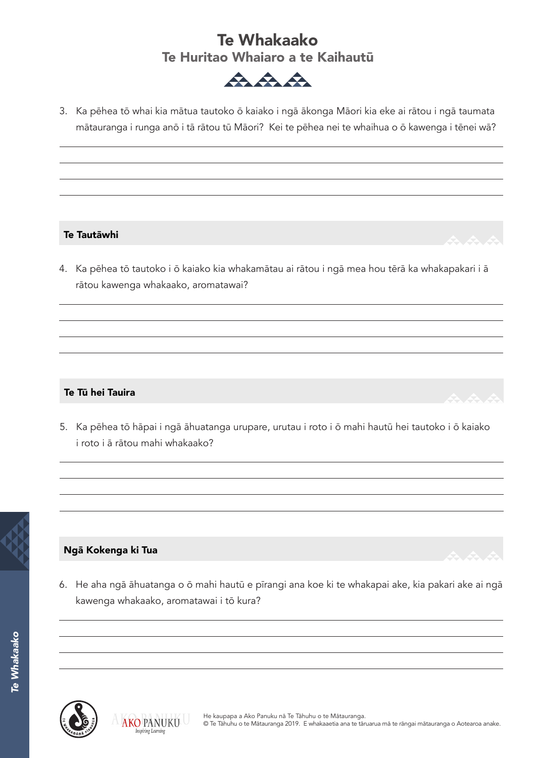### Te Whakaako Te Huritao Whaiaro a te Kaihautū



3. Ka pēhea tō whai kia mātua tautoko ō kaiako i ngā ākonga Māori kia eke ai rātou i ngā taumata mātauranga i runga anō i tā rātou tū Māori? Kei te pēhea nei te whaihua o ō kawenga i tēnei wā?

#### Te Tautāwhi

4. Ka pēhea tō tautoko i ō kaiako kia whakamātau ai rātou i ngā mea hou tērā ka whakapakari i ā rātou kawenga whakaako, aromatawai?

#### Te Tū hei Tauira

5. Ka pēhea tō hāpai i ngā āhuatanga urupare, urutau i roto i ō mahi hautū hei tautoko i ō kaiako i roto i ā rātou mahi whakaako?



#### Ngā Kokenga ki Tua

6. He aha ngā āhuatanga o ō mahi hautū e pīrangi ana koe ki te whakapai ake, kia pakari ake ai ngā kawenga whakaako, aromatawai i tō kura?